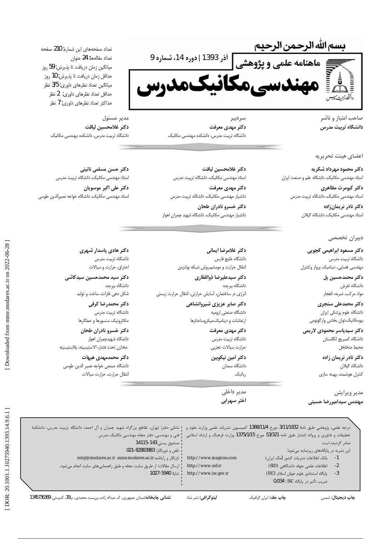بسم الله الرحمن الرحيم الذر 1393 ادوره 14، شماره 9<br>مناعة علمى و پژوهشى الذر 1393 ادوره 14، شماره 9<br>من المرتب

صاحب امتياز و ناشر دانشگاه تربیت مدرس

# اعضای هیئت تحریریه

دکتر محمود مهرداد شکریه استاد مهندسی مکانیک، دانشگاه علم و صنعت ایران

> دكتر كيومرث مظاهري استاد مهندسی مکانیک، دانشگاه تربیت مدرس

> > دكتر نادر نريمانزاده استاد مهندسی مکانیک، دانشگاه گیلان

## دبیران تخصصی

دکتر مسعود ابراهیمی کچویی دانشگاه تربیت مدرس مهندسي فضايي، ديناميک پرواز وكنترل

> دکتر محمدحسین پل دانشگاه تفرش مواد مركب، ضربه، انفجار

دکتر محمدعلی سنجری دانشگاه علوم پزشکی ایران بيومكانيك،توان بخشى وارگونومى

دكتر سيدياسر محمودى لاريمى دانشگاه كمبريج انگلستان محيط متخلخل

> دكتر نادر نريمان زاده دانشگاه گیلان كنترل هوشمند، بهينه سازى

مدير ويرايش مهندس سيداميررضا حسينى

سردبير دکتر مهدی معرفت دانشگاه تربیت مدرس، دانشکده مهندسی مکانیک

دكتر غلامحسين لياقت استاد مهندسی مکانیک، دانشگاه تربیت مدرس

دکتر مهدی معرفت دانشیار مهندسی مکانیک، دانشگاه تربیت مدرس

دكتر خسرو نادران طحان دانشیار مهندسی مکانیک، دانشگاه شهید چمران اهواز

> دكتر غلامرضا ايمانى دانشگاه خليج فارس انتقال حرارت و مومنتم،روش شبكه بولتزمن

دكتر سيدعليرضا ذوالفقارى دانشگاه ببرجند انرژی در ساختمان، آسایش حرارتی، انتقال حرارت زیستی

> دکتر صابر عزیزی شیروانشاهی دانشگاه صنعتي اروميه ارتعاشات و دینامیک،میکروساختارها

> > دكتر مهدى معرفت دانشگاه تربیت مدرس حرارت سيالات تجربى دكتر امين نيكوبين دانشگاه سمنان

> > > مدير داخلي اختر سهرابی

رباتیک

تعداد صفحههای این شماره: 210 صفحه تعداد مقالهها: 24 عنوان ميانگين زمان دريافت تا پذيرش: 59 روز حداقل زمان دريافت تا پذيرش: 10 روز میانگین تعداد نظرهای داوری: 3/5 نظر حداقل تعداد نظرهای داوری: 2 نظر حداكثر تعداد نظرهاى داورى: 7 نظر

> مدير مسئول دكتر غلامحسين لياقت دانشگاه تربیت مدرس، دانشکده مهندسی مکانیک

دکتر حسن مسلمی نائینی استاد مهندسی مکانیک، دانشگاه تربیت مدرس

دكتر على اكبر موسويان استاد مهندسي مكانيك، دانشگاه خواجه نصيرالدين طوسي

> دکتر هادی پاسدار شهری دانشگاه تربیت مدرس احتراق، حرارت و سیالات

دکتر سید محمدحسین سیدکاشی دانشگاه بيرجند شکل دهی فلزات، ساخت و تولید

> دكتر محمدرضا كرفى دانشگاه تربیت مدرس مكاترونيك سنسورها و عملگرها

دكتر خسرو نادران طحان دانشگاه شهيدچمران اهواز مخازن تحت فشار، الاستيسيته، پلاستيسيته

### دکتر محمدمهدی هیهات

دانشگاه صنعتی خواجه نصير الدين طوسى انتقال حرارت، حرارت سيالات

درجه علمی، پژوهشی طبق نامهٔ 3/11/1832 مورخ 1388/11/4 کمیسیون نشریات علمی وزارت علوم و ۱ نشانی دفتر: تهران، تقاطع بزرگراه شهید چمران و آل احمد، دانشگاه تربیت مدرس، دانشکده تحقیقات و فناوری و پروانه انتشار طبق نامه 53/321 مورخ 1375/1/15 وزارت فرهنگ و ارشاد اسلامی <mark>.</mark> فنی و مهندسی، دفتر مجله مهندسی مکانیک مدرس صندوق پستى:143-14115 صادر گردیده است تلفن و دورنگار: 021-82883983 این نشریه در پایگاههای زیرنمایه میشود: تارنگار و رایانامه:mtej@modares.ac.ir .mme.modares.ac.ir http://www.magiran.com بانک اطلاعات نشریات کشور (مگ ایران)  $-1$ http://www.sid.ir اطلاعات علمی جهاد دانشگاهی (SID) ارسال مقالات: از طریق سایت مجله و طبق راهنماییهای سایت انجام میشود.  $-2$ شايا: 5940-1027 http://www.isc.gov.ir پایگاه استنادی علوم جهان اسلام (ISC)  $-3$ ضريب تأثير در پايكاه ISC : 0/034

نشانی چاپخانه:میدان جمهوری، ک عبداله زاده، بن بست محمدی، پ19، کدپستی: 1345736369